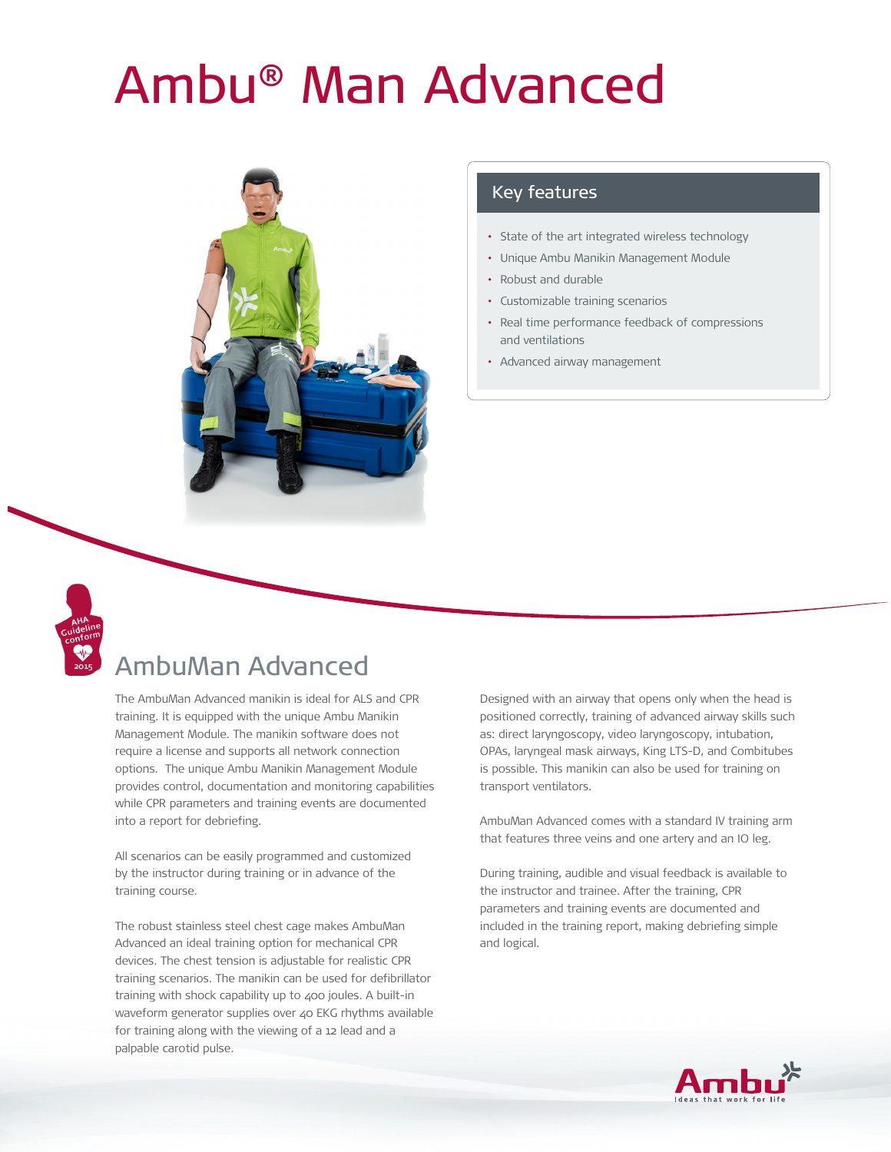# Ambu® Man Advanced



#### Key features

- State of the art integrated wireless technology
- Unique Ambu Manikin Management Module
- Robust and durable
- Customizable training scenarios
- Real time performance feedback of compressions and ventilations
- Advanced airway management



## AmbuMan Advanced

The AmbuMan Advanced manikin is ideal for ALS and CPR training. It is equipped with the unique Ambu Manikin Management Module. The manikin software does not require a license and supports all network connection options. The unique Ambu Manikin Management Module provides control, documentation and monitoring capabilities while CPR parameters and training events are documented into a report for debriefing.

All scenarios can be easily programmed and customized by the instructor during training or in advance of the training course.

The robust stainless steel chest cage makes AmbuMan Advanced an ideal training option for mechanical CPR devices. The chest tension is adjustable for realistic CPR training scenarios. The manikin can be used for defibrillator training with shock capability up to 400 joules. A built-in waveform generator supplies over 40 EKG rhythms available for training along with the viewing of a 12 lead and a palpable carotid pulse.

Designed with an airway that opens only when the head is positioned correctly, training of advanced airway skills such as: direct laryngoscopy, video laryngoscopy, intubation, OPAs, laryngeal mask airways, King LTS-D, and Combitubes is possible. This manikin can also be used for training on transport ventilators.

AmbuMan Advanced comes with a standard IV training arm that features three veins and one artery and an IO leg.

During training, audible and visual feedback is available to the instructor and trainee. After the training, CPR parameters and training events are documented and included in the training report, making debriefing simple and logical.